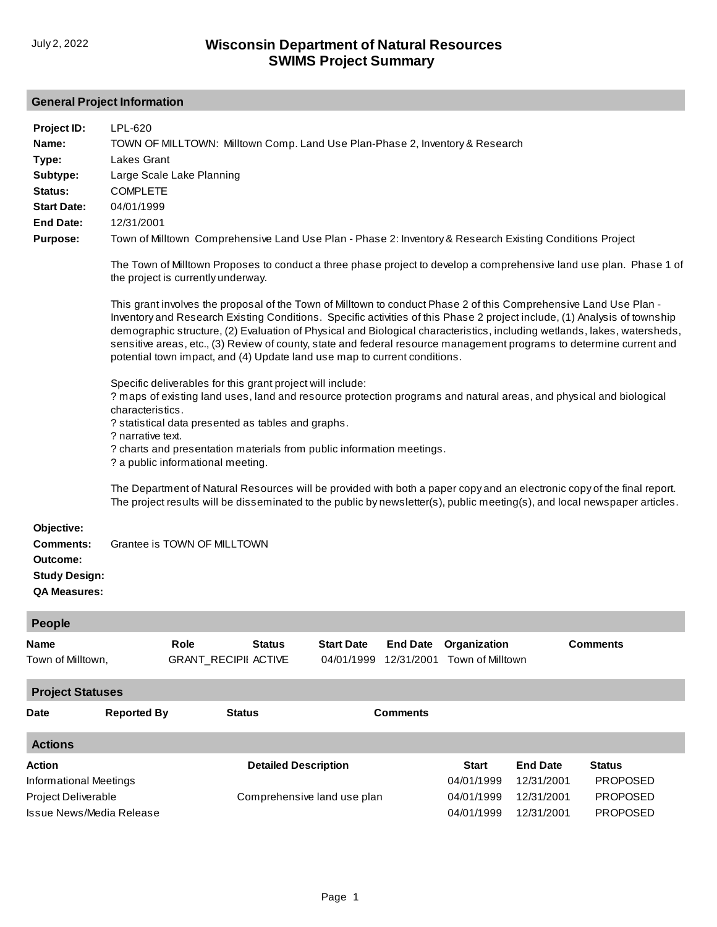## **General Project Information**

| Project ID:<br>Name:<br>Type:<br>Subtype:<br>Status:<br><b>Start Date:</b><br><b>End Date:</b><br><b>Purpose:</b> | LPL-620<br>TOWN OF MILLTOWN: Milltown Comp. Land Use Plan-Phase 2, Inventory & Research<br>Lakes Grant<br>Large Scale Lake Planning<br><b>COMPLETE</b><br>04/01/1999<br>12/31/2001<br>Town of Milltown Comprehensive Land Use Plan - Phase 2: Inventory & Research Existing Conditions Project<br>The Town of Milltown Proposes to conduct a three phase project to develop a comprehensive land use plan. Phase 1 of<br>the project is currently underway.<br>This grant involves the proposal of the Town of Milltown to conduct Phase 2 of this Comprehensive Land Use Plan -<br>Inventory and Research Existing Conditions. Specific activities of this Phase 2 project include, (1) Analysis of township<br>demographic structure, (2) Evaluation of Physical and Biological characteristics, including wetlands, lakes, watersheds,<br>sensitive areas, etc., (3) Review of county, state and federal resource management programs to determine current and<br>potential town impact, and (4) Update land use map to current conditions.<br>Specific deliverables for this grant project will include:<br>? maps of existing land uses, land and resource protection programs and natural areas, and physical and biological<br>characteristics.<br>? statistical data presented as tables and graphs.<br>? narrative text.<br>? charts and presentation materials from public information meetings.<br>? a public informational meeting.<br>The Department of Natural Resources will be provided with both a paper copy and an electronic copy of the final report.<br>The project results will be disseminated to the public by newsletter(s), public meeting(s), and local newspaper articles. |                                     |                             |                                 |                               |                                                        |                                                           |                                                                        |
|-------------------------------------------------------------------------------------------------------------------|---------------------------------------------------------------------------------------------------------------------------------------------------------------------------------------------------------------------------------------------------------------------------------------------------------------------------------------------------------------------------------------------------------------------------------------------------------------------------------------------------------------------------------------------------------------------------------------------------------------------------------------------------------------------------------------------------------------------------------------------------------------------------------------------------------------------------------------------------------------------------------------------------------------------------------------------------------------------------------------------------------------------------------------------------------------------------------------------------------------------------------------------------------------------------------------------------------------------------------------------------------------------------------------------------------------------------------------------------------------------------------------------------------------------------------------------------------------------------------------------------------------------------------------------------------------------------------------------------------------------------------------------------------------------------------------------------------|-------------------------------------|-----------------------------|---------------------------------|-------------------------------|--------------------------------------------------------|-----------------------------------------------------------|------------------------------------------------------------------------|
| Objective:<br><b>Comments:</b><br>Outcome:<br><b>Study Design:</b><br><b>QA Measures:</b>                         |                                                                                                                                                                                                                                                                                                                                                                                                                                                                                                                                                                                                                                                                                                                                                                                                                                                                                                                                                                                                                                                                                                                                                                                                                                                                                                                                                                                                                                                                                                                                                                                                                                                                                                         | Grantee is TOWN OF MILLTOWN         |                             |                                 |                               |                                                        |                                                           |                                                                        |
| <b>People</b>                                                                                                     |                                                                                                                                                                                                                                                                                                                                                                                                                                                                                                                                                                                                                                                                                                                                                                                                                                                                                                                                                                                                                                                                                                                                                                                                                                                                                                                                                                                                                                                                                                                                                                                                                                                                                                         |                                     |                             |                                 |                               |                                                        |                                                           |                                                                        |
| <b>Name</b><br>Town of Milltown,                                                                                  |                                                                                                                                                                                                                                                                                                                                                                                                                                                                                                                                                                                                                                                                                                                                                                                                                                                                                                                                                                                                                                                                                                                                                                                                                                                                                                                                                                                                                                                                                                                                                                                                                                                                                                         | Role<br><b>GRANT_RECIPII ACTIVE</b> | <b>Status</b>               | <b>Start Date</b><br>04/01/1999 | <b>End Date</b><br>12/31/2001 | Organization<br>Town of Milltown                       |                                                           | <b>Comments</b>                                                        |
| <b>Project Statuses</b>                                                                                           |                                                                                                                                                                                                                                                                                                                                                                                                                                                                                                                                                                                                                                                                                                                                                                                                                                                                                                                                                                                                                                                                                                                                                                                                                                                                                                                                                                                                                                                                                                                                                                                                                                                                                                         |                                     |                             |                                 |                               |                                                        |                                                           |                                                                        |
| Date                                                                                                              | <b>Reported By</b>                                                                                                                                                                                                                                                                                                                                                                                                                                                                                                                                                                                                                                                                                                                                                                                                                                                                                                                                                                                                                                                                                                                                                                                                                                                                                                                                                                                                                                                                                                                                                                                                                                                                                      |                                     | <b>Status</b>               |                                 | <b>Comments</b>               |                                                        |                                                           |                                                                        |
| <b>Actions</b>                                                                                                    |                                                                                                                                                                                                                                                                                                                                                                                                                                                                                                                                                                                                                                                                                                                                                                                                                                                                                                                                                                                                                                                                                                                                                                                                                                                                                                                                                                                                                                                                                                                                                                                                                                                                                                         |                                     |                             |                                 |                               |                                                        |                                                           |                                                                        |
| Action<br><b>Informational Meetings</b><br>Project Deliverable<br><b>Issue News/Media Release</b>                 |                                                                                                                                                                                                                                                                                                                                                                                                                                                                                                                                                                                                                                                                                                                                                                                                                                                                                                                                                                                                                                                                                                                                                                                                                                                                                                                                                                                                                                                                                                                                                                                                                                                                                                         |                                     | <b>Detailed Description</b> | Comprehensive land use plan     |                               | <b>Start</b><br>04/01/1999<br>04/01/1999<br>04/01/1999 | <b>End Date</b><br>12/31/2001<br>12/31/2001<br>12/31/2001 | <b>Status</b><br><b>PROPOSED</b><br><b>PROPOSED</b><br><b>PROPOSED</b> |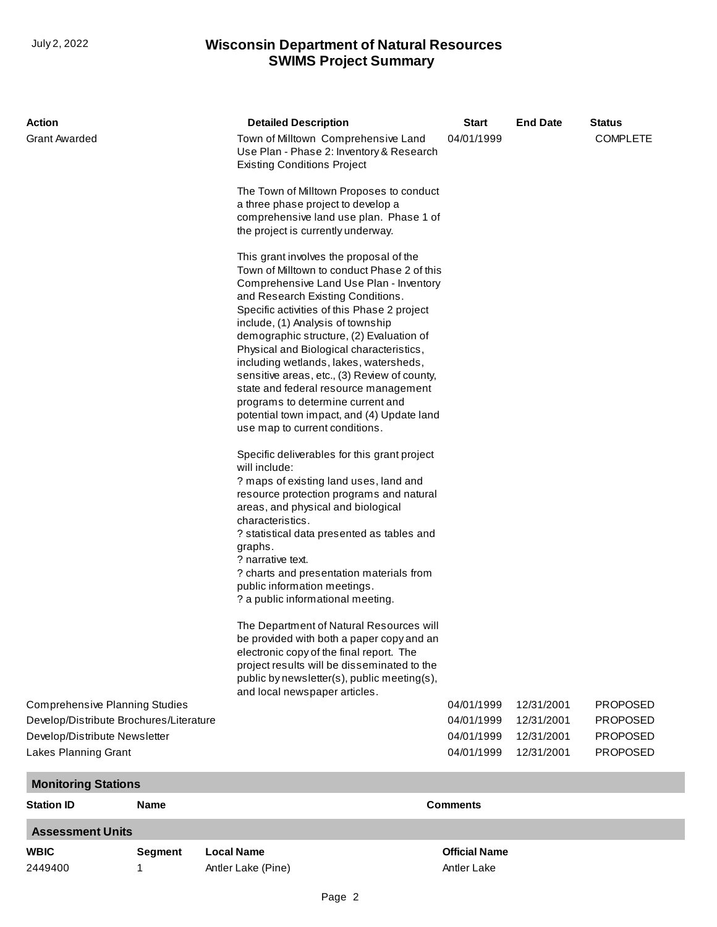## **SWIMS Project Summary** July 2, 2022 **Wisconsin Department of Natural Resources**

| Action                                                |                | <b>Detailed Description</b>                                                                                                                                                  |                                                                                                                                                                                                                                                                                                                                                                                                                                                                                                                                     | Start                    | <b>End Date</b>          | <b>Status</b>                      |  |  |
|-------------------------------------------------------|----------------|------------------------------------------------------------------------------------------------------------------------------------------------------------------------------|-------------------------------------------------------------------------------------------------------------------------------------------------------------------------------------------------------------------------------------------------------------------------------------------------------------------------------------------------------------------------------------------------------------------------------------------------------------------------------------------------------------------------------------|--------------------------|--------------------------|------------------------------------|--|--|
| <b>Grant Awarded</b>                                  |                | <b>Existing Conditions Project</b>                                                                                                                                           | Town of Milltown Comprehensive Land<br>Use Plan - Phase 2: Inventory & Research                                                                                                                                                                                                                                                                                                                                                                                                                                                     | 04/01/1999               |                          | <b>COMPLETE</b>                    |  |  |
|                                                       |                | a three phase project to develop a<br>the project is currently underway.                                                                                                     | The Town of Milltown Proposes to conduct<br>comprehensive land use plan. Phase 1 of                                                                                                                                                                                                                                                                                                                                                                                                                                                 |                          |                          |                                    |  |  |
|                                                       |                | include, (1) Analysis of township<br>use map to current conditions.                                                                                                          | This grant involves the proposal of the<br>Town of Milltown to conduct Phase 2 of this<br>Comprehensive Land Use Plan - Inventory<br>and Research Existing Conditions.<br>Specific activities of this Phase 2 project<br>demographic structure, (2) Evaluation of<br>Physical and Biological characteristics,<br>including wetlands, lakes, watersheds,<br>sensitive areas, etc., (3) Review of county,<br>state and federal resource management<br>programs to determine current and<br>potential town impact, and (4) Update land |                          |                          |                                    |  |  |
|                                                       |                | will include:<br>areas, and physical and biological<br>characteristics.<br>graphs.<br>? narrative text.<br>public information meetings.<br>? a public informational meeting. | Specific deliverables for this grant project<br>? maps of existing land uses, land and<br>resource protection programs and natural<br>? statistical data presented as tables and<br>? charts and presentation materials from                                                                                                                                                                                                                                                                                                        |                          |                          |                                    |  |  |
|                                                       |                | and local newspaper articles.                                                                                                                                                | The Department of Natural Resources will<br>be provided with both a paper copy and an<br>electronic copy of the final report. The<br>project results will be disseminated to the<br>public by newsletter(s), public meeting(s),                                                                                                                                                                                                                                                                                                     |                          |                          |                                    |  |  |
| <b>Comprehensive Planning Studies</b>                 |                |                                                                                                                                                                              |                                                                                                                                                                                                                                                                                                                                                                                                                                                                                                                                     | 04/01/1999               | 12/31/2001               | <b>PROPOSED</b>                    |  |  |
| Develop/Distribute Brochures/Literature               |                |                                                                                                                                                                              |                                                                                                                                                                                                                                                                                                                                                                                                                                                                                                                                     | 04/01/1999<br>04/01/1999 | 12/31/2001               | <b>PROPOSED</b>                    |  |  |
| Develop/Distribute Newsletter<br>Lakes Planning Grant |                |                                                                                                                                                                              |                                                                                                                                                                                                                                                                                                                                                                                                                                                                                                                                     | 04/01/1999               | 12/31/2001<br>12/31/2001 | <b>PROPOSED</b><br><b>PROPOSED</b> |  |  |
|                                                       |                |                                                                                                                                                                              |                                                                                                                                                                                                                                                                                                                                                                                                                                                                                                                                     |                          |                          |                                    |  |  |
| <b>Monitoring Stations</b>                            |                |                                                                                                                                                                              |                                                                                                                                                                                                                                                                                                                                                                                                                                                                                                                                     |                          |                          |                                    |  |  |
| <b>Station ID</b>                                     | <b>Name</b>    |                                                                                                                                                                              |                                                                                                                                                                                                                                                                                                                                                                                                                                                                                                                                     | <b>Comments</b>          |                          |                                    |  |  |
| <b>Assessment Units</b>                               |                |                                                                                                                                                                              |                                                                                                                                                                                                                                                                                                                                                                                                                                                                                                                                     |                          |                          |                                    |  |  |
| <b>WBIC</b>                                           | <b>Segment</b> | <b>Local Name</b>                                                                                                                                                            |                                                                                                                                                                                                                                                                                                                                                                                                                                                                                                                                     | <b>Official Name</b>     |                          |                                    |  |  |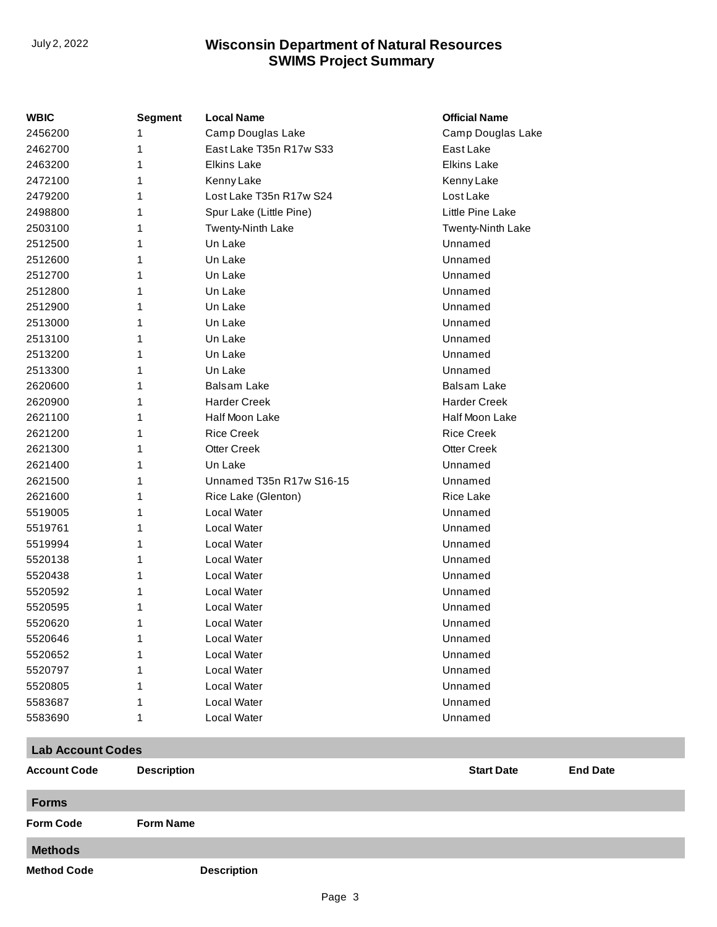## **SWIMS Project Summary** July 2, 2022 **Wisconsin Department of Natural Resources**

| <b>WBIC</b>              | <b>Segment</b>     | <b>Local Name</b>        | <b>Official Name</b>                 |
|--------------------------|--------------------|--------------------------|--------------------------------------|
| 2456200                  | 1                  | Camp Douglas Lake        | Camp Douglas Lake                    |
| 2462700                  | 1                  | East Lake T35n R17w S33  | East Lake                            |
| 2463200                  | 1                  | <b>Elkins Lake</b>       | <b>Elkins Lake</b>                   |
| 2472100                  | 1                  | Kenny Lake               | Kenny Lake                           |
| 2479200                  | 1                  | Lost Lake T35n R17w S24  | Lost Lake                            |
| 2498800                  | 1                  | Spur Lake (Little Pine)  | Little Pine Lake                     |
| 2503100                  | 1                  | Twenty-Ninth Lake        | Twenty-Ninth Lake                    |
| 2512500                  | 1                  | Un Lake                  | Unnamed                              |
| 2512600                  | 1                  | Un Lake                  | Unnamed                              |
| 2512700                  | 1                  | Un Lake                  | Unnamed                              |
| 2512800                  | 1                  | Un Lake                  | Unnamed                              |
| 2512900                  | 1                  | Un Lake                  | Unnamed                              |
| 2513000                  | 1                  | Un Lake                  | Unnamed                              |
| 2513100                  | 1                  | Un Lake                  | Unnamed                              |
| 2513200                  | 1                  | Un Lake                  | Unnamed                              |
| 2513300                  | 1                  | Un Lake                  | Unnamed                              |
| 2620600                  | 1                  | <b>Balsam Lake</b>       | <b>Balsam Lake</b>                   |
| 2620900                  | 1                  | <b>Harder Creek</b>      | <b>Harder Creek</b>                  |
| 2621100                  | 1                  | Half Moon Lake           | Half Moon Lake                       |
| 2621200                  | 1                  | <b>Rice Creek</b>        | <b>Rice Creek</b>                    |
| 2621300                  | 1                  | <b>Otter Creek</b>       | <b>Otter Creek</b>                   |
| 2621400                  | 1                  | Un Lake                  | Unnamed                              |
| 2621500                  | 1                  | Unnamed T35n R17w S16-15 | Unnamed                              |
| 2621600                  | 1                  | Rice Lake (Glenton)      | <b>Rice Lake</b>                     |
| 5519005                  | 1                  | Local Water              | Unnamed                              |
| 5519761                  | 1                  | Local Water              | Unnamed                              |
| 5519994                  | 1                  | Local Water              | Unnamed                              |
| 5520138                  | 1                  | Local Water              | Unnamed                              |
| 5520438                  | 1                  | Local Water              | Unnamed                              |
| 5520592                  | 1                  | Local Water              | Unnamed                              |
| 5520595                  | 1                  | Local Water              | Unnamed                              |
| 5520620                  | 1                  | Local Water              | Unnamed                              |
| 5520646                  | 1                  | Local Water              | Unnamed                              |
| 5520652                  |                    | Local Water              | Unnamed                              |
| 5520797                  |                    | Local Water              | Unnamed                              |
| 5520805                  | 1                  | Local Water              | Unnamed                              |
| 5583687                  | 1                  | Local Water              | Unnamed                              |
| 5583690                  | 1                  | Local Water              | Unnamed                              |
| <b>Lab Account Codes</b> |                    |                          |                                      |
| <b>Account Code</b>      | <b>Description</b> |                          | <b>Start Date</b><br><b>End Date</b> |
| <b>Forms</b>             |                    |                          |                                      |
| <b>Form Code</b>         | <b>Form Name</b>   |                          |                                      |

**Methods**

**Method Code Description**